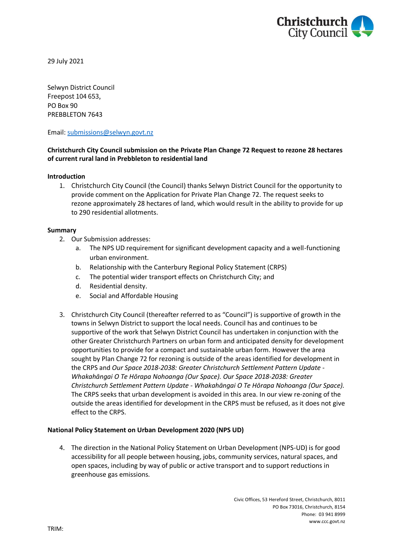

29 July 2021

Selwyn District Council Freepost 104 653, PO Box 90 PREBBLETON 7643

Email: [submissions@selwyn.govt.nz](mailto:submissions@selwyn.govt.nz)

# **Christchurch City Council submission on the Private Plan Change 72 Request to rezone 28 hectares of current rural land in Prebbleton to residential land**

### **Introduction**

1. Christchurch City Council (the Council) thanks Selwyn District Council for the opportunity to provide comment on the Application for Private Plan Change 72. The request seeks to rezone approximately 28 hectares of land, which would result in the ability to provide for up to 290 residential allotments.

#### **Summary**

- 2. Our Submission addresses:
	- a. The NPS UD requirement for significant development capacity and a well-functioning urban environment.
	- b. Relationship with the Canterbury Regional Policy Statement (CRPS)
	- c. The potential wider transport effects on Christchurch City; and
	- d. Residential density.
	- e. Social and Affordable Housing
- 3. Christchurch City Council (thereafter referred to as "Council") is supportive of growth in the towns in Selwyn District to support the local needs. Council has and continues to be supportive of the work that Selwyn District Council has undertaken in conjunction with the other Greater Christchurch Partners on urban form and anticipated density for development opportunities to provide for a compact and sustainable urban form. However the area sought by Plan Change 72 for rezoning is outside of the areas identified for development in the CRPS and *Our Space 2018-2038: Greater Christchurch Settlement Pattern Update - Whakahāngai O Te Hōrapa Nohoanga (Our Space). Our Space 2018-2038: Greater Christchurch Settlement Pattern Update - Whakahāngai O Te Hōrapa Nohoanga (Our Space).*  The CRPS seeks that urban development is avoided in this area. In our view re-zoning of the outside the areas identified for development in the CRPS must be refused, as it does not give effect to the CRPS.

## **National Policy Statement on Urban Development 2020 (NPS UD)**

4. The direction in the National Policy Statement on Urban Development (NPS-UD) is for good accessibility for all people between housing, jobs, community services, natural spaces, and open spaces, including by way of public or active transport and to support reductions in greenhouse gas emissions.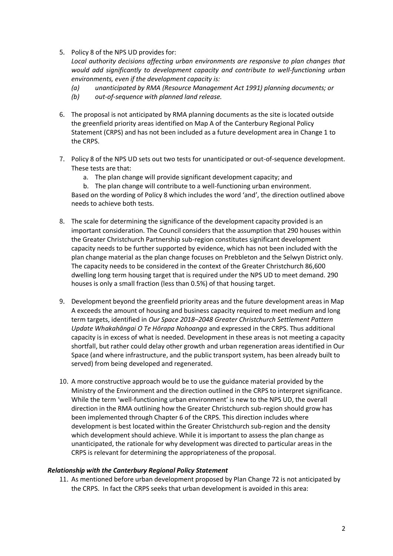5. Policy 8 of the NPS UD provides for:

*Local authority decisions affecting urban environments are responsive to plan changes that would add significantly to development capacity and contribute to well-functioning urban environments, even if the development capacity is:* 

- *(a) unanticipated by RMA (Resource Management Act 1991) planning documents; or*
- *(b) out-of-sequence with planned land release.*
- 6. The proposal is not anticipated by RMA planning documents as the site is located outside the greenfield priority areas identified on Map A of the Canterbury Regional Policy Statement (CRPS) and has not been included as a future development area in Change 1 to the CRPS.
- 7. Policy 8 of the NPS UD sets out two tests for unanticipated or out-of-sequence development. These tests are that:
	- a. The plan change will provide significant development capacity; and
	- b. The plan change will contribute to a well-functioning urban environment.

Based on the wording of Policy 8 which includes the word 'and', the direction outlined above needs to achieve both tests.

- 8. The scale for determining the significance of the development capacity provided is an important consideration. The Council considers that the assumption that 290 houses within the Greater Christchurch Partnership sub-region constitutes significant development capacity needs to be further supported by evidence, which has not been included with the plan change material as the plan change focuses on Prebbleton and the Selwyn District only. The capacity needs to be considered in the context of the Greater Christchurch 86,600 dwelling long term housing target that is required under the NPS UD to meet demand. 290 houses is only a small fraction (less than 0.5%) of that housing target.
- 9. Development beyond the greenfield priority areas and the future development areas in Map A exceeds the amount of housing and business capacity required to meet medium and long term targets, identified in *Our Space 2018–2048 Greater Christchurch Settlement Pattern Update Whakahāngai O Te Hōrapa Nohoanga* and expressed in the CRPS. Thus additional capacity is in excess of what is needed. Development in these areas is not meeting a capacity shortfall, but rather could delay other growth and urban regeneration areas identified in Our Space (and where infrastructure, and the public transport system, has been already built to served) from being developed and regenerated.
- 10. A more constructive approach would be to use the guidance material provided by the Ministry of the Environment and the direction outlined in the CRPS to interpret significance. While the term 'well-functioning urban environment' is new to the NPS UD, the overall direction in the RMA outlining how the Greater Christchurch sub-region should grow has been implemented through Chapter 6 of the CRPS. This direction includes where development is best located within the Greater Christchurch sub-region and the density which development should achieve. While it is important to assess the plan change as unanticipated, the rationale for why development was directed to particular areas in the CRPS is relevant for determining the appropriateness of the proposal.

## *Relationship with the Canterbury Regional Policy Statement*

11. As mentioned before urban development proposed by Plan Change 72 is not anticipated by the CRPS. In fact the CRPS seeks that urban development is avoided in this area: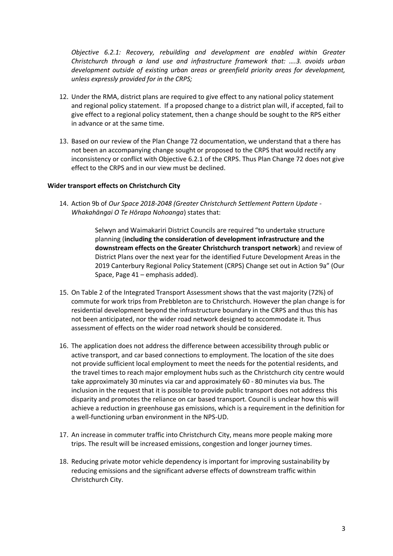*Objective 6.2.1: Recovery, rebuilding and development are enabled within Greater Christchurch through a land use and infrastructure framework that: ….3. avoids urban development outside of existing urban areas or greenfield priority areas for development, unless expressly provided for in the CRPS;*

- 12. Under the RMA, district plans are required to give effect to any national policy statement and regional policy statement. If a proposed change to a district plan will, if accepted, fail to give effect to a regional policy statement, then a change should be sought to the RPS either in advance or at the same time.
- 13. Based on our review of the Plan Change 72 documentation, we understand that a there has not been an accompanying change sought or proposed to the CRPS that would rectify any inconsistency or conflict with Objective 6.2.1 of the CRPS. Thus Plan Change 72 does not give effect to the CRPS and in our view must be declined.

### **Wider transport effects on Christchurch City**

14. Action 9b of *Our Space 2018-2048 (Greater Christchurch Settlement Pattern Update - Whakahāngai O Te Hōrapa Nohoanga*) states that:

> Selwyn and Waimakariri District Councils are required "to undertake structure planning (**including the consideration of development infrastructure and the downstream effects on the Greater Christchurch transport network**) and review of District Plans over the next year for the identified Future Development Areas in the 2019 Canterbury Regional Policy Statement (CRPS) Change set out in Action 9a" (Our Space, Page 41 – emphasis added).

- 15. On Table 2 of the Integrated Transport Assessment shows that the vast majority (72%) of commute for work trips from Prebbleton are to Christchurch. However the plan change is for residential development beyond the infrastructure boundary in the CRPS and thus this has not been anticipated, nor the wider road network designed to accommodate it. Thus assessment of effects on the wider road network should be considered.
- 16. The application does not address the difference between accessibility through public or active transport, and car based connections to employment. The location of the site does not provide sufficient local employment to meet the needs for the potential residents, and the travel times to reach major employment hubs such as the Christchurch city centre would take approximately 30 minutes via car and approximately 60 - 80 minutes via bus. The inclusion in the request that it is possible to provide public transport does not address this disparity and promotes the reliance on car based transport. Council is unclear how this will achieve a reduction in greenhouse gas emissions, which is a requirement in the definition for a well-functioning urban environment in the NPS-UD.
- 17. An increase in commuter traffic into Christchurch City, means more people making more trips. The result will be increased emissions, congestion and longer journey times.
- 18. Reducing private motor vehicle dependency is important for improving sustainability by reducing emissions and the significant adverse effects of downstream traffic within Christchurch City.